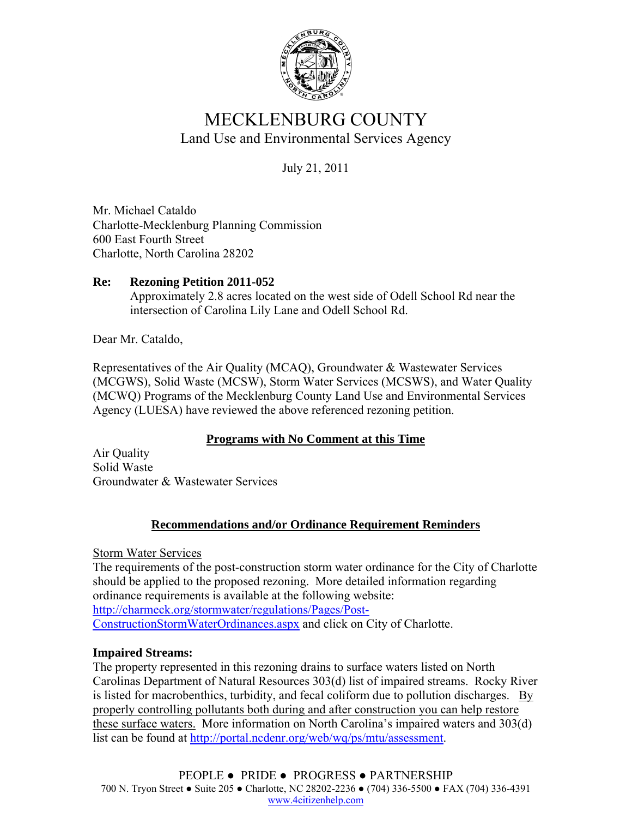

# MECKLENBURG COUNTY Land Use and Environmental Services Agency

July 21, 2011

Mr. Michael Cataldo Charlotte-Mecklenburg Planning Commission 600 East Fourth Street Charlotte, North Carolina 28202

#### **Re: Rezoning Petition 2011-052**  Approximately 2.8 acres located on the west side of Odell School Rd near the intersection of Carolina Lily Lane and Odell School Rd.

Dear Mr. Cataldo,

Representatives of the Air Quality (MCAQ), Groundwater & Wastewater Services (MCGWS), Solid Waste (MCSW), Storm Water Services (MCSWS), and Water Quality (MCWQ) Programs of the Mecklenburg County Land Use and Environmental Services Agency (LUESA) have reviewed the above referenced rezoning petition.

### **Programs with No Comment at this Time**

Air Quality Solid Waste Groundwater & Wastewater Services

## **Recommendations and/or Ordinance Requirement Reminders**

Storm Water Services

The requirements of the post-construction storm water ordinance for the City of Charlotte should be applied to the proposed rezoning. More detailed information regarding ordinance requirements is available at the following website: http://charmeck.org/stormwater/regulations/Pages/Post-ConstructionStormWaterOrdinances.aspx and click on City of Charlotte.

### **Impaired Streams:**

The property represented in this rezoning drains to surface waters listed on North Carolinas Department of Natural Resources 303(d) list of impaired streams. Rocky River is listed for macrobenthics, turbidity, and fecal coliform due to pollution discharges. By properly controlling pollutants both during and after construction you can help restore these surface waters. More information on North Carolina's impaired waters and 303(d) list can be found at http://portal.ncdenr.org/web/wq/ps/mtu/assessment.

PEOPLE ● PRIDE ● PROGRESS ● PARTNERSHIP 700 N. Tryon Street ● Suite 205 ● Charlotte, NC 28202-2236 ● (704) 336-5500 ● FAX (704) 336-4391 www.4citizenhelp.com